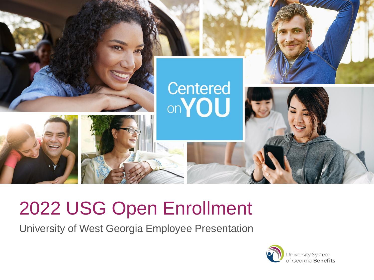

## 2022 USG Open Enrollment

University of West Georgia Employee Presentation

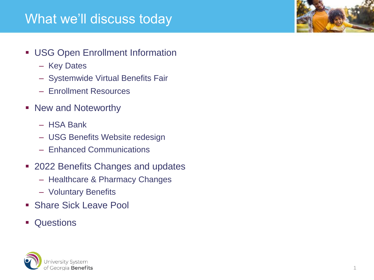### What we'll discuss today

- **USG Open Enrollment Information** 
	- Key Dates
	- Systemwide Virtual Benefits Fair
	- Enrollment Resources
- New and Noteworthy
	- HSA Bank
	- USG Benefits Website redesign
	- Enhanced Communications
- 2022 Benefits Changes and updates
	- Healthcare & Pharmacy Changes
	- Voluntary Benefits
- Share Sick Leave Pool
- Questions



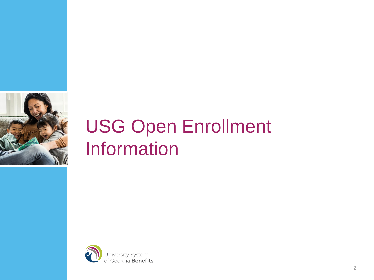

## USG Open Enrollment Information

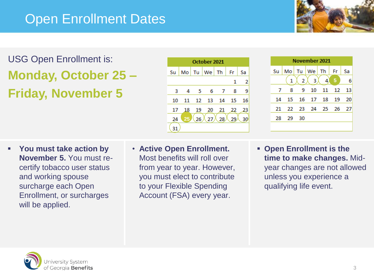## Open Enrollment Dates



USG Open Enrollment is: **Monday, October 25 – Friday, November 5**

| October 2021 |    |    |       |    |    |    |
|--------------|----|----|-------|----|----|----|
| Su           | Mo | Tu | We Th |    | Fr | Sa |
|              |    |    |       |    | 1  | 2  |
| 3            | 4  | 5  | 6     | 7  | 8  | 9  |
| 10           | 11 | 12 | 13    | 14 | 15 | 16 |
| 17           | 18 | 19 | 20    | 21 | 22 | 23 |
| 24           | 25 | 26 | 27    | 28 |    | 30 |
|              |    |    |       |    |    |    |



- **You must take action by November 5.** You must recertify tobacco user status and working spouse surcharge each Open Enrollment, or surcharges will be applied.
- **Active Open Enrollment.**  Most benefits will roll over from year to year. However, you must elect to contribute to your Flexible Spending Account (FSA) every year.
- **Open Enrollment is the time to make changes.** Midyear changes are not allowed unless you experience a qualifying life event.

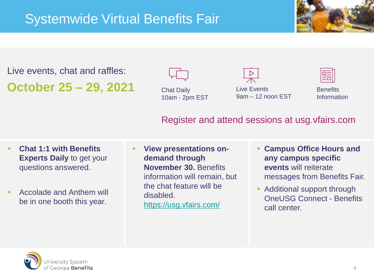

Live events, chat and raffles: **October 25 – 29, 2021**



Live Events 9am – 12 noon EST



**Benefits** Information

#### Register and attend sessions at usg.vfairs.com

- **Chat 1:1 with Benefits Experts Daily** to get your questions answered.
- Accolade and Anthem will be in one booth this year.
- **View presentations ondemand through November 30.** Benefits information will remain, but the chat feature will be disabled. <https://usg.vfairs.com/>
- **Campus Office Hours and any campus specific events** will reiterate messages from Benefits Fair.
- Additional support through OneUSG Connect - Benefits call center.

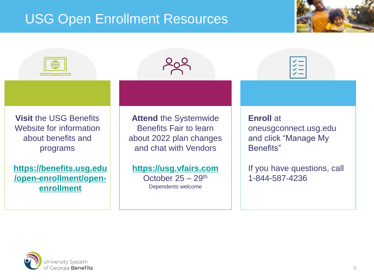## USG Open Enrollment Resources





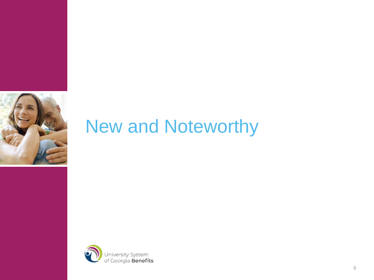

## New and Noteworthy

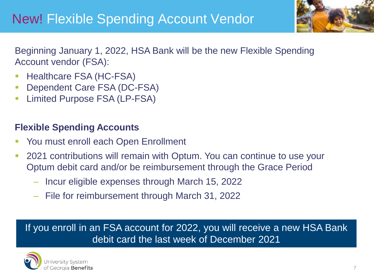## New! Flexible Spending Account Vendor



Beginning January 1, 2022, HSA Bank will be the new Flexible Spending Account vendor (FSA):

- Healthcare FSA (HC-FSA)
- Dependent Care FSA (DC-FSA)
- Limited Purpose FSA (LP-FSA)

#### **Flexible Spending Accounts**

- You must enroll each Open Enrollment
- 2021 contributions will remain with Optum. You can continue to use your Optum debit card and/or be reimbursement through the Grace Period
	- ‒ Incur eligible expenses through March 15, 2022
	- ‒ File for reimbursement through March 31, 2022

If you enroll in an FSA account for 2022, you will receive a new HSA Bank debit card the last week of December 2021

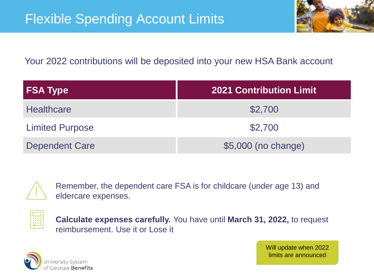

#### Your 2022 contributions will be deposited into your new HSA Bank account

| <b>FSA Type</b>        | <b>2021 Contribution Limit.</b> |
|------------------------|---------------------------------|
| <b>Healthcare</b>      | \$2,700                         |
| <b>Limited Purpose</b> | \$2,700                         |
| <b>Dependent Care</b>  | \$5,000 (no change)             |



Remember, the dependent care FSA is for childcare (under age 13) and eldercare expenses.



**Calculate expenses carefully.** You have until **March 31, 2022,** to request reimbursement. Use it or Lose it



Will update when 2022 limits are announced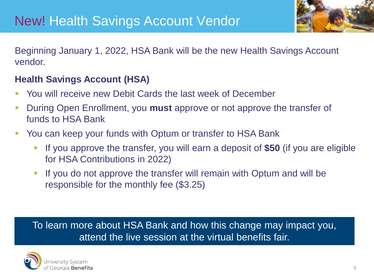

Beginning January 1, 2022, HSA Bank will be the new Health Savings Account vendor.

#### **Health Savings Account (HSA)**

- You will receive new Debit Cards the last week of December
- During Open Enrollment, you **must** approve or not approve the transfer of funds to HSA Bank
- You can keep your funds with Optum or transfer to HSA Bank
	- If you approve the transfer, you will earn a deposit of **\$50** (if you are eligible for HSA Contributions in 2022)
	- **.** If you do not approve the transfer will remain with Optum and will be responsible for the monthly fee (\$3.25)

To learn more about HSA Bank and how this change may impact you, attend the live session at the virtual benefits fair.

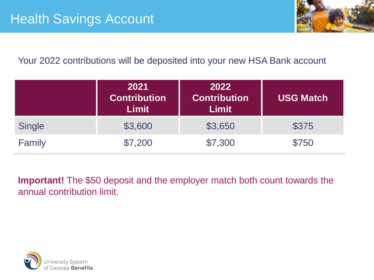

#### Your 2022 contributions will be deposited into your new HSA Bank account

|               | 2021<br><b>Contribution</b><br>Limit | 2022<br><b>Contribution</b><br><b>Limit</b> | <b>USG Match</b> |
|---------------|--------------------------------------|---------------------------------------------|------------------|
| <b>Single</b> | \$3,600                              | \$3,650                                     | \$375            |
| Family        | \$7,200                              | \$7,300                                     | \$750            |

**Important!** The \$50 deposit and the employer match both count towards the annual contribution limit.

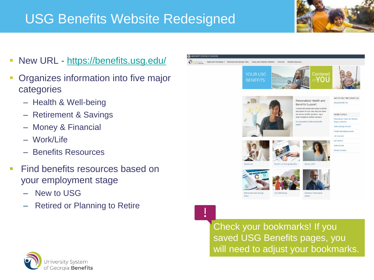## USG Benefits Website Redesigned



- New URL <https://benefits.usg.edu/>
- Organizes information into five major categories
	- Health & Well-being
	- Retirement & Savings
	- Money & Financial
	- Work/Life
	- Benefits Resources
- **Example 1** Find benefits resources based on your employment stage
	- ‒ New to USG
	- ‒ Retired or Planning to Retire



Check your bookmarks! If you saved USG Benefits pages, you will need to adjust your bookmarks.

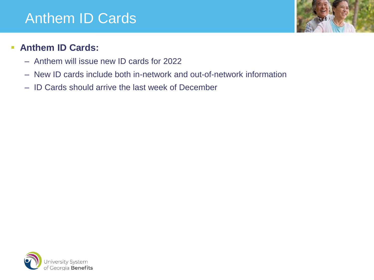## Anthem ID Cards



#### ▪ **Anthem ID Cards:**

- Anthem will issue new ID cards for 2022
- New ID cards include both in-network and out-of-network information
- ID Cards should arrive the last week of December

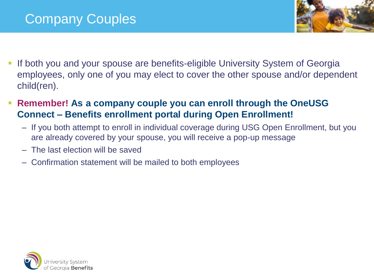

- If both you and your spouse are benefits-eligible University System of Georgia employees, only one of you may elect to cover the other spouse and/or dependent child(ren).
- **Remember! As a company couple you can enroll through the OneUSG Connect – Benefits enrollment portal during Open Enrollment!** 
	- If you both attempt to enroll in individual coverage during USG Open Enrollment, but you are already covered by your spouse, you will receive a pop-up message
	- The last election will be saved
	- Confirmation statement will be mailed to both employees

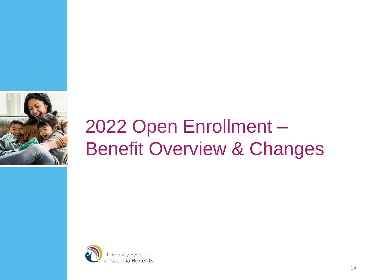

# 2022 Open Enrollment – Benefit Overview & Changes

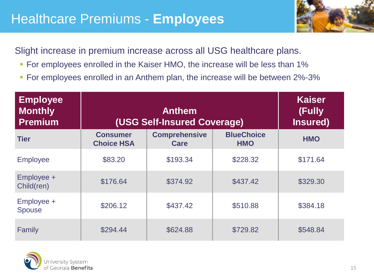## Healthcare Premiums - **Employees**



Slight increase in premium increase across all USG healthcare plans.

- For employees enrolled in the Kaiser HMO, the increase will be less than 1%
- **For employees enrolled in an Anthem plan, the increase will be between 2%-3%**

| <b>Employee</b><br><b>Monthly</b><br><b>Premium</b> | (USG Self-Insured Coverage)          | <b>Kaiser</b><br>(Fully<br>Insured) |                                 |            |
|-----------------------------------------------------|--------------------------------------|-------------------------------------|---------------------------------|------------|
| <b>Tier</b>                                         | <b>Consumer</b><br><b>Choice HSA</b> | <b>Comprehensive</b><br>Care        | <b>BlueChoice</b><br><b>HMO</b> | <b>HMO</b> |
| <b>Employee</b>                                     | \$83.20                              | \$193.34                            | \$228.32                        | \$171.64   |
| Employee +<br>Child(ren)                            | \$176.64                             | \$374.92                            | \$437.42                        | \$329.30   |
| Employee +<br><b>Spouse</b>                         | \$206.12                             | \$437.42                            | \$510.88                        | \$384.18   |
| Family                                              | \$294.44                             | \$624.88                            | \$729.82                        | \$548.84   |

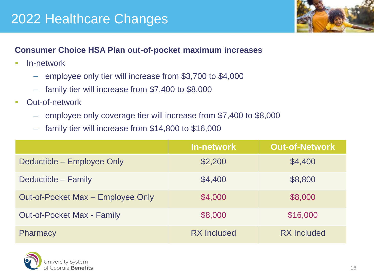## 2022 Healthcare Changes



#### **Consumer Choice HSA Plan out-of-pocket maximum increases**

- **■** In-network
	- employee only tier will increase from \$3,700 to \$4,000
	- ‒ family tier will increase from \$7,400 to \$8,000
- Out-of-network
	- ‒ employee only coverage tier will increase from \$7,400 to \$8,000
	- family tier will increase from \$14,800 to \$16,000

|                                   | <b>In-network</b>  | <b>Out-of-Network</b> |
|-----------------------------------|--------------------|-----------------------|
| Deductible – Employee Only        | \$2,200            | \$4,400               |
| Deductible – Family               | \$4,400            | \$8,800               |
| Out-of-Pocket Max – Employee Only | \$4,000            | \$8,000               |
| <b>Out-of-Pocket Max - Family</b> | \$8,000            | \$16,000              |
| <b>Pharmacy</b>                   | <b>RX</b> Included | <b>RX</b> Included    |

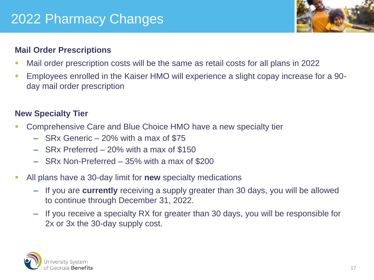## 2022 Pharmacy Changes



#### **Mail Order Prescriptions**

- Mail order prescription costs will be the same as retail costs for all plans in 2022
- **Employees enrolled in the Kaiser HMO will experience a slight copay increase for a 90**day mail order prescription

#### **New Specialty Tier**

- Comprehensive Care and Blue Choice HMO have a new specialty tier
	- ‒ SRx Generic 20% with a max of \$75
	- ‒ SRx Preferred 20% with a max of \$150
	- ‒ SRx Non-Preferred 35% with a max of \$200
- All plans have a 30-day limit for **new** specialty medications
	- ‒ If you are **currently** receiving a supply greater than 30 days, you will be allowed to continue through December 31, 2022.
	- If you receive a specialty RX for greater than 30 days, you will be responsible for 2x or 3x the 30-day supply cost.

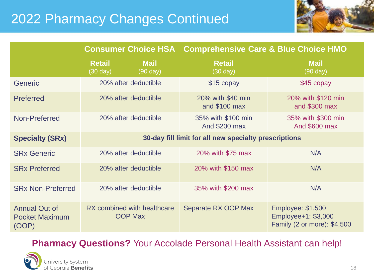## 2022 Pharmacy Changes Continued



|                                                        | <b>Consumer Choice HSA</b>                            |                                   | <b>Comprehensive Care &amp; Blue Choice HMO</b> |                                                                                |  |
|--------------------------------------------------------|-------------------------------------------------------|-----------------------------------|-------------------------------------------------|--------------------------------------------------------------------------------|--|
|                                                        | <b>Retail</b><br>$(30 \text{ day})$                   | <b>Mail</b><br>$(90 \text{ day})$ | <b>Retail</b><br>$(30 \text{ day})$             | <b>Mail</b><br>$(90 \text{ day})$                                              |  |
| <b>Generic</b>                                         | 20% after deductible                                  |                                   | \$15 copay                                      | \$45 copay                                                                     |  |
| <b>Preferred</b>                                       | 20% after deductible                                  |                                   | 20% with \$40 min<br>and \$100 max              | 20% with \$120 min<br>and \$300 max                                            |  |
| Non-Preferred                                          | 20% after deductible                                  |                                   | 35% with \$100 min<br>And \$200 max             | 35% with \$300 min<br>And \$600 max                                            |  |
| <b>Specialty (SRx)</b>                                 | 30-day fill limit for all new specialty prescriptions |                                   |                                                 |                                                                                |  |
| <b>SRx Generic</b>                                     | 20% after deductible                                  |                                   | 20% with \$75 max                               | N/A                                                                            |  |
| <b>SRx Preferred</b>                                   | 20% after deductible                                  |                                   | 20% with \$150 max                              | N/A                                                                            |  |
| <b>SRx Non-Preferred</b>                               | 20% after deductible                                  |                                   | 35% with \$200 max                              | N/A                                                                            |  |
| <b>Annual Out of</b><br><b>Pocket Maximum</b><br>(OOP) | RX combined with healthcare<br><b>OOP Max</b>         |                                   | Separate RX OOP Max                             | <b>Employee: \$1,500</b><br>Employee+1: \$3,000<br>Family (2 or more): \$4,500 |  |

#### **Pharmacy Questions?** Your Accolade Personal Health Assistant can help!

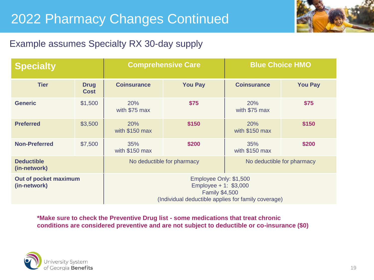## 2022 Pharmacy Changes Continued



#### Example assumes Specialty RX 30-day supply

| <b>Specialty</b>                      |                            |                                                                                                                                  | <b>Comprehensive Care</b> | <b>Blue Choice HMO</b> |                |  |
|---------------------------------------|----------------------------|----------------------------------------------------------------------------------------------------------------------------------|---------------------------|------------------------|----------------|--|
| <b>Tier</b>                           | <b>Drug</b><br><b>Cost</b> | <b>Coinsurance</b>                                                                                                               | <b>You Pay</b>            | <b>Coinsurance</b>     | <b>You Pay</b> |  |
| <b>Generic</b>                        | \$1,500                    | 20%<br>with \$75 max                                                                                                             | \$75                      | 20%<br>with \$75 max   | \$75           |  |
| <b>Preferred</b>                      | \$3,500                    | <b>20%</b><br>with \$150 max                                                                                                     | \$150                     | 20%<br>with \$150 max  | \$150          |  |
| <b>Non-Preferred</b>                  | \$7,500                    | 35%<br>with \$150 max                                                                                                            | \$200                     | 35%<br>with \$150 max  | \$200          |  |
| <b>Deductible</b><br>(in-network)     |                            | No deductible for pharmacy<br>No deductible for pharmacy                                                                         |                           |                        |                |  |
| Out of pocket maximum<br>(in-network) |                            | Employee Only: \$1,500<br>Employee + 1: $$3,000$<br><b>Family \$4,500</b><br>(Individual deductible applies for family coverage) |                           |                        |                |  |

**\*Make sure to check the Preventive Drug list - some medications that treat chronic conditions are considered preventive and are not subject to deductible or co-insurance (\$0)**

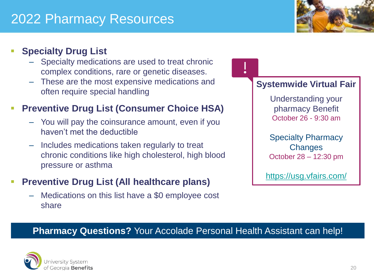## 2022 Pharmacy Resources



#### **Specialty Drug List**

- Specialty medications are used to treat chronic complex conditions, rare or genetic diseases.
- ‒ These are the most expensive medications and often require special handling

#### **Preventive Drug List (Consumer Choice HSA)**

- ‒ You will pay the coinsurance amount, even if you haven't met the deductible
- ‒ Includes medications taken regularly to treat chronic conditions like high cholesterol, high blood pressure or asthma

#### **Preventive Drug List (All healthcare plans)**

‒ Medications on this list have a \$0 employee cost share

#### **Systemwide Virtual Fair**

Understanding your pharmacy Benefit October 26 - 9:30 am

Specialty Pharmacy **Changes** October 28 – 12:30 pm

<https://usg.vfairs.com/>

#### **Pharmacy Questions?** Your Accolade Personal Health Assistant can help!

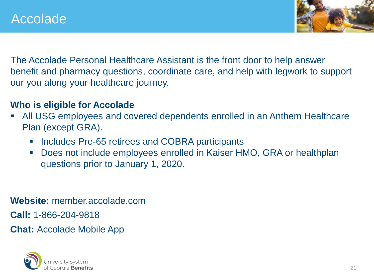

The Accolade Personal Healthcare Assistant is the front door to help answer benefit and pharmacy questions, coordinate care, and help with legwork to support our you along your healthcare journey.

#### **Who is eligible for Accolade**

- All USG employees and covered dependents enrolled in an Anthem Healthcare Plan (except GRA).
	- Includes Pre-65 retirees and COBRA participants
	- Does not include employees enrolled in Kaiser HMO, GRA or healthplan questions prior to January 1, 2020.

**Website:** member.accolade.com

**Call:** 1-866-204-9818

**Chat:** Accolade Mobile App

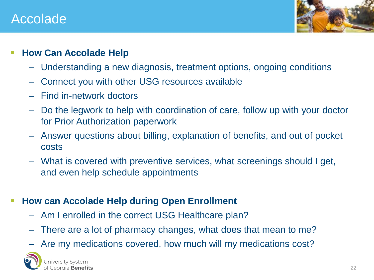### Accolade



#### ▪ **How Can Accolade Help**

- ‒ Understanding a new diagnosis, treatment options, ongoing conditions
- ‒ Connect you with other USG resources available
- ‒ Find in-network doctors
- ‒ Do the legwork to help with coordination of care, follow up with your doctor for Prior Authorization paperwork
- ‒ Answer questions about billing, explanation of benefits, and out of pocket costs
- ‒ What is covered with preventive services, what screenings should I get, and even help schedule appointments

#### **EXPLOM CAN Accolade Help during Open Enrollment**

- ‒ Am I enrolled in the correct USG Healthcare plan?
- ‒ There are a lot of pharmacy changes, what does that mean to me?
- Are my medications covered, how much will my medications cost?

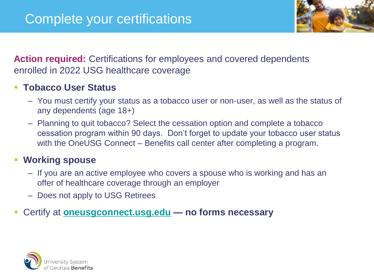

**Action required:** Certifications for employees and covered dependents enrolled in 2022 USG healthcare coverage

#### **Tobacco User Status**

- You must certify your status as a tobacco user or non-user, as well as the status of any dependents (age 18+)
- Planning to quit tobacco? Select the cessation option and complete a tobacco cessation program within 90 days. Don't forget to update your tobacco user status with the OneUSG Connect – Benefits call center after completing a program.

#### **Working spouse**

- If you are an active employee who covers a spouse who is working and has an offer of healthcare coverage through an employer
- Does not apply to USG Retirees

#### ▪ Certify at **[oneusgconnect.usg.edu](HIE Stats) — no forms necessary**

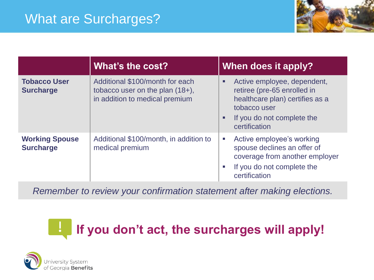

|                                           | What's the cost?                                                                                        | When does it apply?                                                                                                                                                                          |
|-------------------------------------------|---------------------------------------------------------------------------------------------------------|----------------------------------------------------------------------------------------------------------------------------------------------------------------------------------------------|
| <b>Tobacco User</b><br><b>Surcharge</b>   | Additional \$100/month for each<br>tobacco user on the plan $(18+)$ ,<br>in addition to medical premium | Active employee, dependent,<br>٠<br>retiree (pre-65 enrolled in<br>healthcare plan) certifies as a<br>tobacco user<br>If you do not complete the<br>п<br>certification                       |
| <b>Working Spouse</b><br><b>Surcharge</b> | Additional \$100/month, in addition to<br>medical premium                                               | Active employee's working<br>$\mathcal{L}_{\mathcal{A}}$<br>spouse declines an offer of<br>coverage from another employer<br>If you do not complete the<br><b>The State</b><br>certification |

*Remember to review your confirmation statement after making elections.*

#### **If you don't act, the surcharges will apply!** $\mathbf{L}$

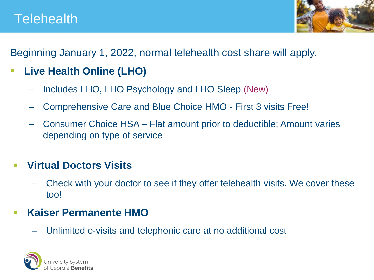

Beginning January 1, 2022, normal telehealth cost share will apply.

- **Live Health Online (LHO)**
	- ‒ Includes LHO, LHO Psychology and LHO Sleep (New)
	- ‒ Comprehensive Care and Blue Choice HMO First 3 visits Free!
	- ‒ Consumer Choice HSA Flat amount prior to deductible; Amount varies depending on type of service

### ▪ **Virtual Doctors Visits**

‒ Check with your doctor to see if they offer telehealth visits. We cover these too!

### ▪ **Kaiser Permanente HMO**

‒ Unlimited e-visits and telephonic care at no additional cost

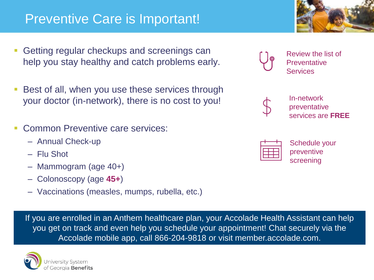### Preventive Care is Important!

- Getting regular checkups and screenings can help you stay healthy and catch problems early.
- Best of all, when you use these services through your doctor (in-network), there is no cost to you!
- Common Preventive care services:
	- Annual Check-up
	- Flu Shot
	- Mammogram (age 40+)
	- Colonoscopy (age **45+**)
	- Vaccinations (measles, mumps, rubella, etc.)

If you are enrolled in an Anthem healthcare plan, your Accolade Health Assistant can help you get on track and even help you schedule your appointment! Chat securely via the Accolade mobile app, call 866-204-9818 or visit member.accolade.com.





Review the list of **Preventative Services** 



In-network preventative services are **FREE**



Schedule your preventive screening

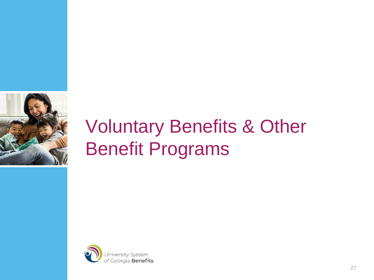

# Voluntary Benefits & Other Benefit Programs

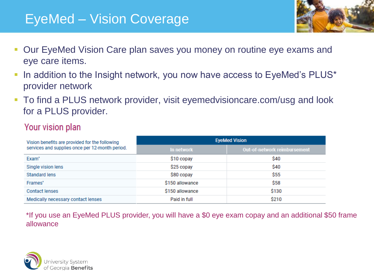## EyeMed – Vision Coverage

- Our EyeMed Vision Care plan saves you money on routine eye exams and eye care items.
- In addition to the Insight network, you now have access to EyeMed's PLUS\* provider network
- **To find a PLUS network provider, visit eyemedvisioncare.com/usg and look** for a PLUS provider.

#### Your vision plan

| Vision benefits are provided for the following  | <b>EyeMed Vision</b> |                              |  |  |
|-------------------------------------------------|----------------------|------------------------------|--|--|
| services and supplies once per 12-month period. | In network           | Out-of-network reimbursement |  |  |
| Exam <sup>*</sup>                               | \$10 copay           | \$40                         |  |  |
| Single vision lens                              | \$25 copay           | \$40                         |  |  |
| Standard lens                                   | \$80 copay           | \$55                         |  |  |
| Frames*                                         | \$150 allowance      | <b>S58</b>                   |  |  |
| <b>Contact lenses</b>                           | \$150 allowance      | \$130                        |  |  |
| Medically necessary contact lenses              | Paid in full         | \$210                        |  |  |

\*If you use an EyeMed PLUS provider, you will have a \$0 eye exam copay and an additional \$50 frame allowance

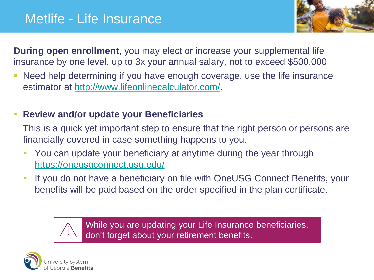

**During open enrollment**, you may elect or increase your supplemental life insurance by one level, up to 3x your annual salary, not to exceed \$500,000

■ Need help determining if you have enough coverage, use the life insurance estimator at [http://www.lifeonlinecalculator.com/.](http://www.lifeonlinecalculator.com/)

#### **Review and/or update your Beneficiaries**

This is a quick yet important step to ensure that the right person or persons are financially covered in case something happens to you.

- **You can update your beneficiary at anytime during the year through** <https://oneusgconnect.usg.edu/>
- If you do not have a beneficiary on file with OneUSG Connect Benefits, your benefits will be paid based on the order specified in the plan certificate.



While you are updating your Life Insurance beneficiaries, don't forget about your retirement benefits.

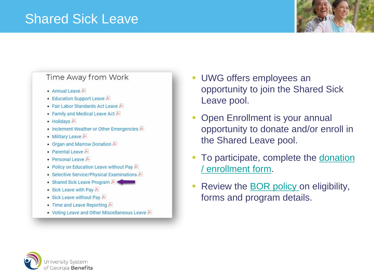### Shared Sick Leave



#### Time Away from Work

- Annual Leave  $\blacktriangleright$
- Education Support Leave
- Fair Labor Standards Act Leave
- Family and Medical Leave Act
- $\bullet$  Holidays  $\blacktriangleright$
- Inclement Weather or Other Emergencies
- Military Leave
- Organ and Marrow Donation A
- Parental Leave
- Personal Leave  $\blacktriangleright$
- Policy on Education Leave without Pay A
- Selective Service/Physical Examinations
- Shared Sick Leave Program
- Sick Leave with Pay  $\blacktriangleright$
- Sick Leave without Pay
- Time and Leave Reporting  $\blacktriangleright$
- Voting Leave and Other Miscellaneous Leave
- **UWG offers employees an** opportunity to join the Shared Sick Leave pool.
- **Open Enrollment is your annual** opportunity to donate and/or enroll in the Shared Leave pool.
- **[To participate, complete the donation](https://app.smartsheet.com/b/form/3d62717d98ce40f388122c0223bfc6ed)** / enrollment form.
- **Review the [BOR policy](https://www.usg.edu/hr/assets/hr/hrap_manual/HRAP_Shared_Sick_Leave_Program_Time_Away_from_Work.pdf) on eligibility,** forms and program details.

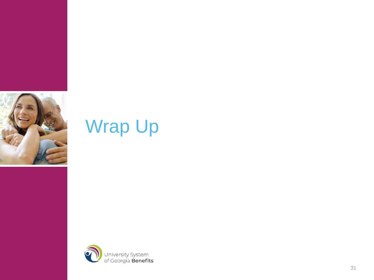

## Wrap Up

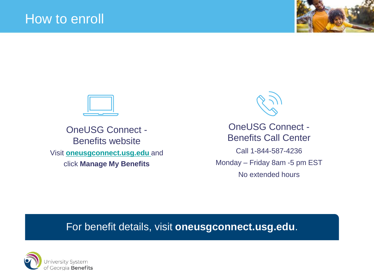



OneUSG Connect - Benefits website Visit **<oneusgconnect.usg.edu>**and click **Manage My Benefits**



OneUSG Connect - Benefits Call Center Call 1-844-587-4236 Monday – Friday 8am -5 pm EST No extended hours

#### For benefit details, visit **oneusgconnect.usg.edu**.

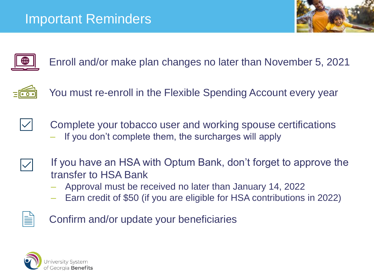



Enroll and/or make plan changes no later than November 5, 2021



You must re-enroll in the Flexible Spending Account every year



- Complete your tobacco user and working spouse certifications
	- ‒ If you don't complete them, the surcharges will apply



- If you have an HSA with Optum Bank, don't forget to approve the transfer to HSA Bank
	- ‒ Approval must be received no later than January 14, 2022
	- ‒ Earn credit of \$50 (if you are eligible for HSA contributions in 2022)

```
Confirm and/or update your beneficiaries
```